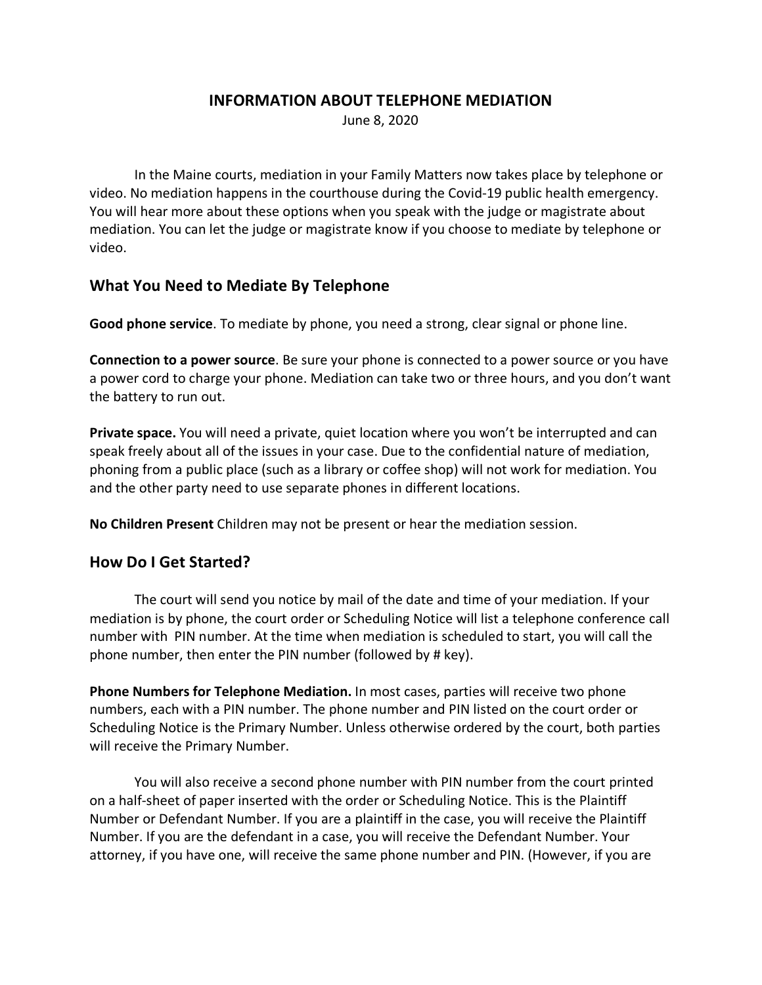#### **INFORMATION ABOUT TELEPHONE MEDIATION**

June 8, 2020

In the Maine courts, mediation in your Family Matters now takes place by telephone or video. No mediation happens in the courthouse during the Covid-19 public health emergency. You will hear more about these options when you speak with the judge or magistrate about mediation. You can let the judge or magistrate know if you choose to mediate by telephone or video.

### **What You Need to Mediate By Telephone**

**Good phone service**. To mediate by phone, you need a strong, clear signal or phone line.

**Connection to a power source**. Be sure your phone is connected to a power source or you have a power cord to charge your phone. Mediation can take two or three hours, and you don't want the battery to run out.

**Private space.** You will need a private, quiet location where you won't be interrupted and can speak freely about all of the issues in your case. Due to the confidential nature of mediation, phoning from a public place (such as a library or coffee shop) will not work for mediation. You and the other party need to use separate phones in different locations.

**No Children Present** Children may not be present or hear the mediation session.

#### **How Do I Get Started?**

The court will send you notice by mail of the date and time of your mediation. If your mediation is by phone, the court order or Scheduling Notice will list a telephone conference call number with PIN number. At the time when mediation is scheduled to start, you will call the phone number, then enter the PIN number (followed by # key).

**Phone Numbers for Telephone Mediation.** In most cases, parties will receive two phone numbers, each with a PIN number. The phone number and PIN listed on the court order or Scheduling Notice is the Primary Number. Unless otherwise ordered by the court, both parties will receive the Primary Number.

You will also receive a second phone number with PIN number from the court printed on a half-sheet of paper inserted with the order or Scheduling Notice. This is the Plaintiff Number or Defendant Number. If you are a plaintiff in the case, you will receive the Plaintiff Number. If you are the defendant in a case, you will receive the Defendant Number. Your attorney, if you have one, will receive the same phone number and PIN. (However, if you are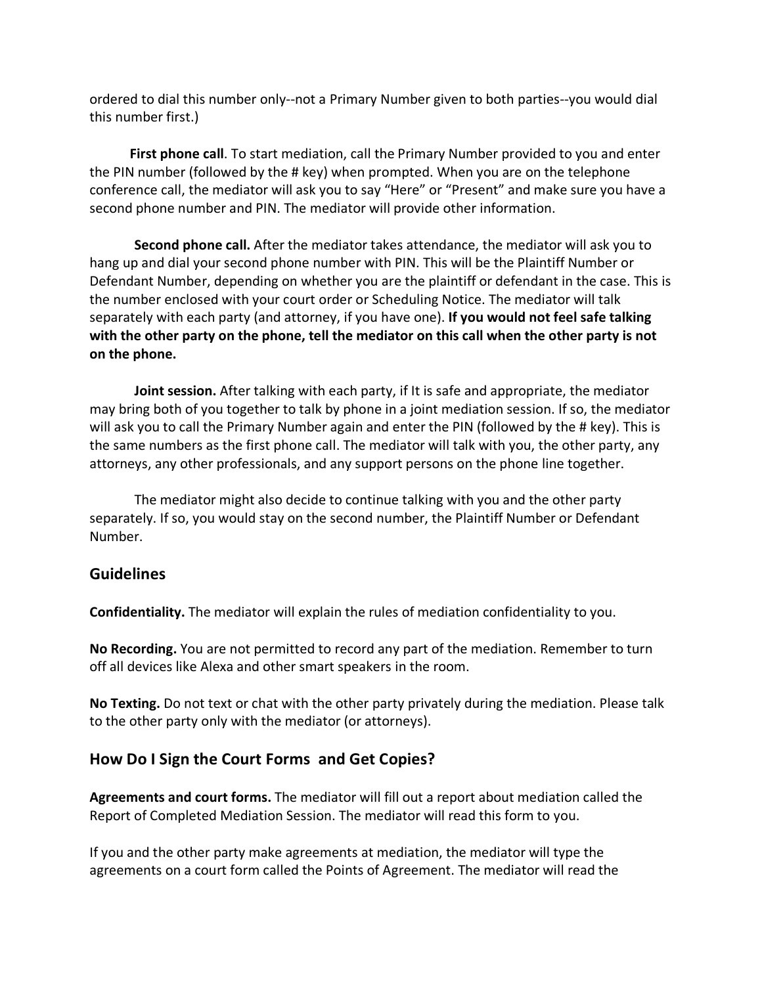ordered to dial this number only--not a Primary Number given to both parties--you would dial this number first.)

 **First phone call**. To start mediation, call the Primary Number provided to you and enter the PIN number (followed by the # key) when prompted. When you are on the telephone conference call, the mediator will ask you to say "Here" or "Present" and make sure you have a second phone number and PIN. The mediator will provide other information.

**Second phone call.** After the mediator takes attendance, the mediator will ask you to hang up and dial your second phone number with PIN. This will be the Plaintiff Number or Defendant Number, depending on whether you are the plaintiff or defendant in the case. This is the number enclosed with your court order or Scheduling Notice. The mediator will talk separately with each party (and attorney, if you have one). **If you would not feel safe talking with the other party on the phone, tell the mediator on this call when the other party is not on the phone.** 

**Joint session.** After talking with each party, if It is safe and appropriate, the mediator may bring both of you together to talk by phone in a joint mediation session. If so, the mediator will ask you to call the Primary Number again and enter the PIN (followed by the # key). This is the same numbers as the first phone call. The mediator will talk with you, the other party, any attorneys, any other professionals, and any support persons on the phone line together.

The mediator might also decide to continue talking with you and the other party separately. If so, you would stay on the second number, the Plaintiff Number or Defendant Number.

## **Guidelines**

**Confidentiality.** The mediator will explain the rules of mediation confidentiality to you.

**No Recording.** You are not permitted to record any part of the mediation. Remember to turn off all devices like Alexa and other smart speakers in the room.

**No Texting.** Do not text or chat with the other party privately during the mediation. Please talk to the other party only with the mediator (or attorneys).

## **How Do I Sign the Court Forms and Get Copies?**

**Agreements and court forms.** The mediator will fill out a report about mediation called the Report of Completed Mediation Session. The mediator will read this form to you.

If you and the other party make agreements at mediation, the mediator will type the agreements on a court form called the Points of Agreement. The mediator will read the